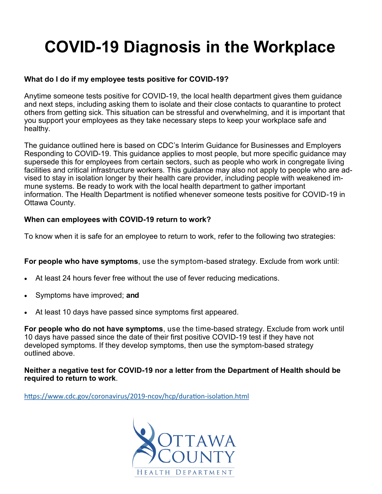# **COVID-19 Diagnosis in the Workplace**

## **What do I do if my employee tests positive for COVID-19?**

Anytime someone tests positive for COVID-19, the local health department gives them guidance and next steps, including asking them to isolate and their close contacts to quarantine to protect others from getting sick. This situation can be stressful and overwhelming, and it is important that you support your employees as they take necessary steps to keep your workplace safe and healthy.

The guidance outlined here is based on CDC's Interim Guidance for Businesses and Employers Responding to COVID-19. This guidance applies to most people, but more specific guidance may supersede this for employees from certain sectors, such as people who work in congregate living facilities and critical infrastructure workers. This guidance may also not apply to people who are advised to stay in isolation longer by their health care provider, including people with weakened immune systems. Be ready to work with the local health department to gather important information. The Health Department is notified whenever someone tests positive for COVID-19 in Ottawa County.

### **When can employees with COVID-19 return to work?**

To know when it is safe for an employee to return to work, refer to the following two strategies:

**For people who have symptoms**, use the symptom-based strategy. Exclude from work until:

- At least 24 hours fever free without the use of fever reducing medications.
- Symptoms have improved; **and**
- At least 10 days have passed since symptoms first appeared.

**For people who do not have symptoms**, use the time-based strategy. Exclude from work until 10 days have passed since the date of their first positive COVID-19 test if they have not developed symptoms. If they develop symptoms, then use the symptom-based strategy outlined above.

**Neither a negative test for COVID-19 nor a letter from the Department of Health should be required to return to work**.

[https://www.cdc.gov/coronavirus/2019](https://www.cdc.gov/coronavirus/2019-ncov/hcp/duration-isolation.html)-ncov/hcp/duration-isolation.html